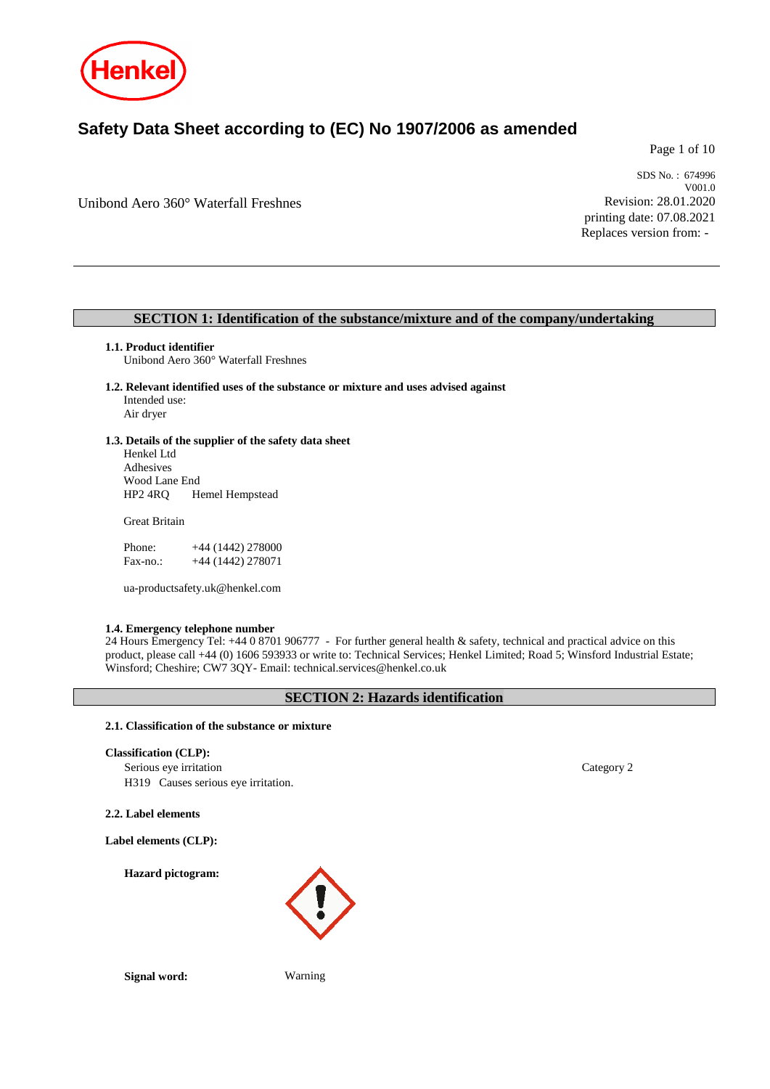

# **Safety Data Sheet according to (EC) No 1907/2006 as amended**

Page 1 of 10

Unibond Aero 360° Waterfall Freshnes

SDS No. : 674996 V001.0 Revision: 28.01.2020 printing date: 07.08.2021 Replaces version from: -

# **SECTION 1: Identification of the substance/mixture and of the company/undertaking**

## **1.1. Product identifier**

Unibond Aero 360° Waterfall Freshnes

- **1.2. Relevant identified uses of the substance or mixture and uses advised against** Intended use: Air dryer
- **1.3. Details of the supplier of the safety data sheet**

Henkel Ltd Adhesives Wood Lane End<br>HP2 4RQ He Hemel Hempstead

Great Britain

| Phone:   | $+44(1442)278000$ |
|----------|-------------------|
| Fax-no.: | +44 (1442) 278071 |

ua-productsafety.uk@henkel.com

### **1.4. Emergency telephone number**

24 Hours Emergency Tel: +44 0 8701 906777 - For further general health & safety, technical and practical advice on this product, please call +44 (0) 1606 593933 or write to: Technical Services; Henkel Limited; Road 5; Winsford Industrial Estate; Winsford; Cheshire; CW7 3QY- Email: technical.services@henkel.co.uk

# **SECTION 2: Hazards identification**

### **2.1. Classification of the substance or mixture**

### **Classification (CLP):**

Serious eye irritation Category 2 H319 Causes serious eye irritation.

**2.2. Label elements**

**Label elements (CLP):**

**Hazard pictogram:**



**Signal word:** Warning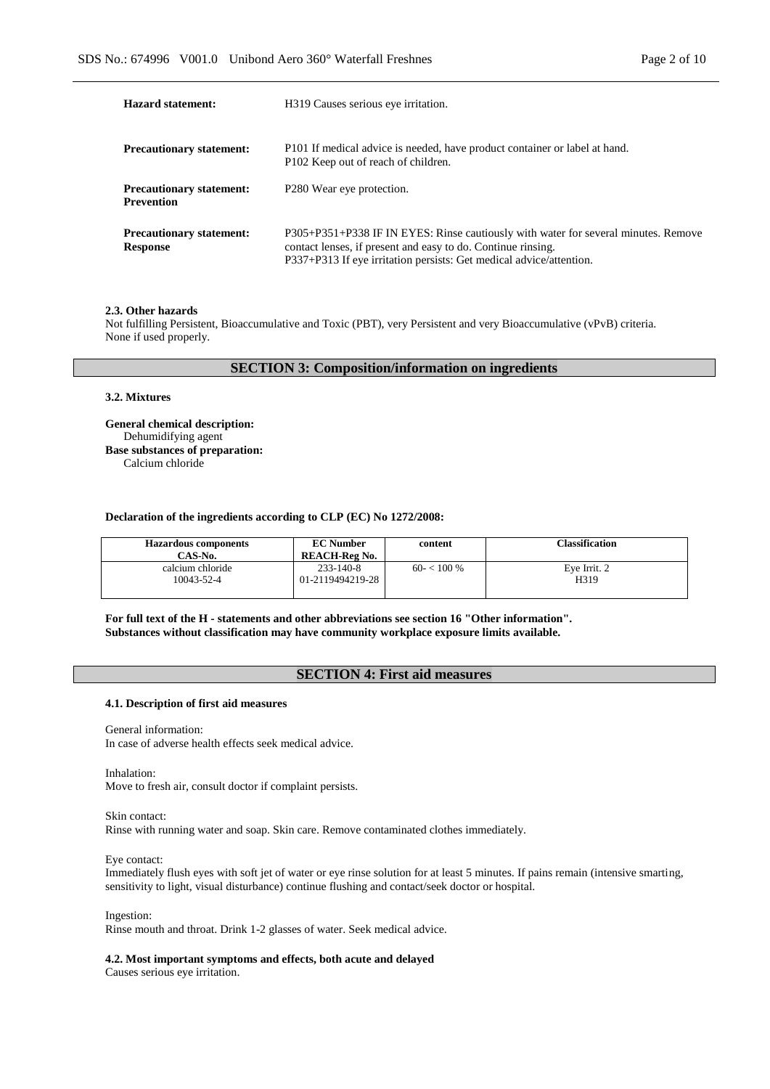| <b>Hazard statement:</b>                             | H319 Causes serious eye irritation.                                                                                                                                                                                       |
|------------------------------------------------------|---------------------------------------------------------------------------------------------------------------------------------------------------------------------------------------------------------------------------|
| <b>Precautionary statement:</b>                      | P101 If medical advice is needed, have product container or label at hand.<br>P102 Keep out of reach of children.                                                                                                         |
| <b>Precautionary statement:</b><br><b>Prevention</b> | P <sub>280</sub> Wear eye protection.                                                                                                                                                                                     |
| <b>Precautionary statement:</b><br><b>Response</b>   | P305+P351+P338 IF IN EYES: Rinse cautiously with water for several minutes. Remove<br>contact lenses, if present and easy to do. Continue rinsing.<br>P337+P313 If eye irritation persists: Get medical advice/attention. |

#### **2.3. Other hazards**

Not fulfilling Persistent, Bioaccumulative and Toxic (PBT), very Persistent and very Bioaccumulative (vPvB) criteria. None if used properly.

# **SECTION 3: Composition/information on ingredients**

#### **3.2. Mixtures**

**General chemical description:** Dehumidifying agent **Base substances of preparation:** Calcium chloride

## **Declaration of the ingredients according to CLP (EC) No 1272/2008:**

| <b>Hazardous components</b><br>CAS-No. | <b>EC Number</b><br><b>REACH-Reg No.</b> | content      | Classification |
|----------------------------------------|------------------------------------------|--------------|----------------|
| calcium chloride                       | 233-140-8                                | $60 - 100\%$ | Eve Irrit. 2   |
| 10043-52-4                             | 01-2119494219-28                         |              | H319           |

**For full text of the H - statements and other abbreviations see section 16 "Other information". Substances without classification may have community workplace exposure limits available.**

# **SECTION 4: First aid measures**

#### **4.1. Description of first aid measures**

General information: In case of adverse health effects seek medical advice.

Inhalation:

Move to fresh air, consult doctor if complaint persists.

Skin contact:

Rinse with running water and soap. Skin care. Remove contaminated clothes immediately.

Eye contact:

Immediately flush eyes with soft jet of water or eye rinse solution for at least 5 minutes. If pains remain (intensive smarting, sensitivity to light, visual disturbance) continue flushing and contact/seek doctor or hospital.

Ingestion:

Rinse mouth and throat. Drink 1-2 glasses of water. Seek medical advice.

**4.2. Most important symptoms and effects, both acute and delayed**

Causes serious eye irritation.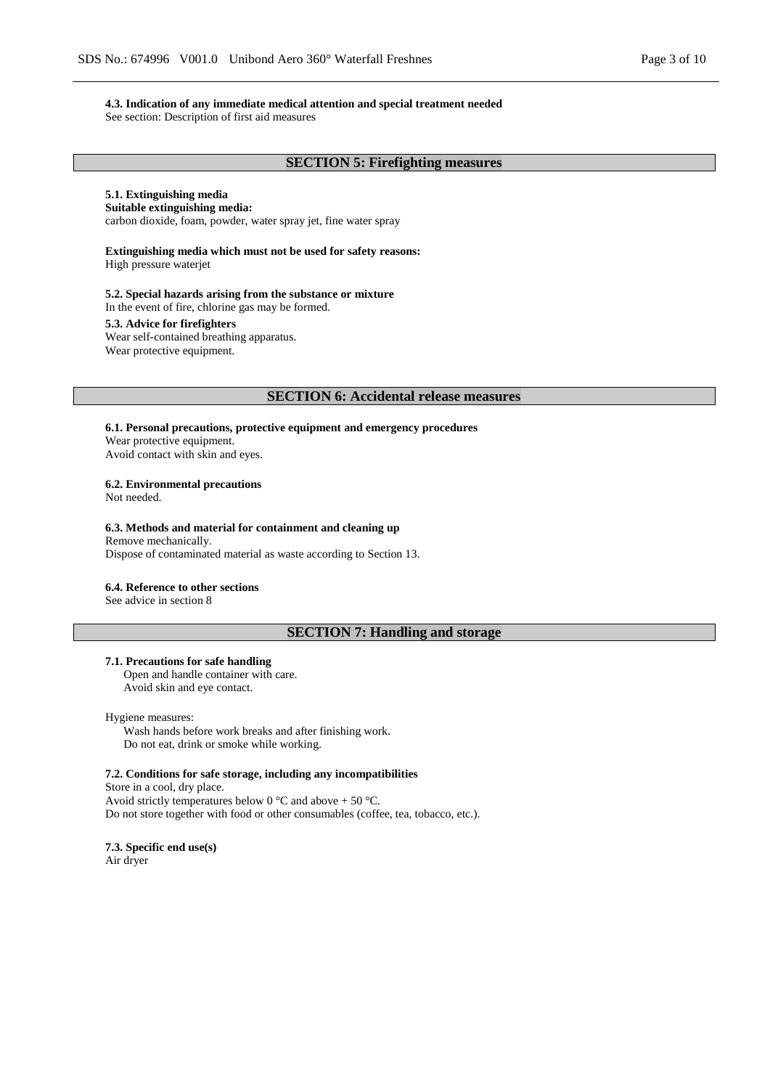**4.3. Indication of any immediate medical attention and special treatment needed** See section: Description of first aid measures

#### **5.1. Extinguishing media Suitable extinguishing media:**

carbon dioxide, foam, powder, water spray jet, fine water spray

**Extinguishing media which must not be used for safety reasons:** High pressure waterjet

#### **5.2. Special hazards arising from the substance or mixture**

In the event of fire, chlorine gas may be formed.

#### **5.3. Advice for firefighters**

Wear self-contained breathing apparatus. Wear protective equipment.

**SECTION 6: Accidental release measures**

### **6.1. Personal precautions, protective equipment and emergency procedures** Wear protective equipment.

Avoid contact with skin and eyes.

#### **6.2. Environmental precautions**

Not needed.

## **6.3. Methods and material for containment and cleaning up**

Remove mechanically. Dispose of contaminated material as waste according to Section 13.

#### **6.4. Reference to other sections**

See advice in section 8

# **SECTION 7: Handling and storage**

# **7.1. Precautions for safe handling**

Open and handle container with care. Avoid skin and eye contact.

#### Hygiene measures:

Wash hands before work breaks and after finishing work. Do not eat, drink or smoke while working.

#### **7.2. Conditions for safe storage, including any incompatibilities**

Store in a cool, dry place. Avoid strictly temperatures below 0 °C and above + 50 °C. Do not store together with food or other consumables (coffee, tea, tobacco, etc.).

**7.3. Specific end use(s)** Air dryer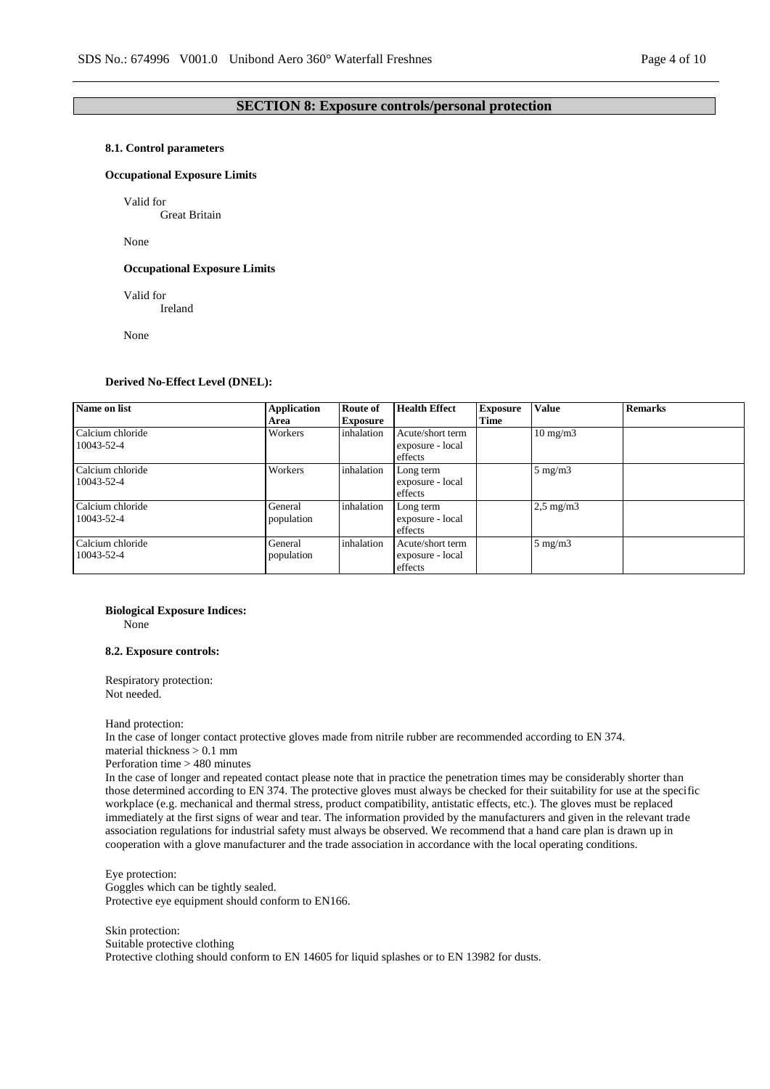# **SECTION 8: Exposure controls/personal protection**

#### **8.1. Control parameters**

## **Occupational Exposure Limits**

Valid for

Great Britain

None

#### **Occupational Exposure Limits**

Valid for

Ireland

None

#### **Derived No-Effect Level (DNEL):**

| Name on list                   | <b>Application</b><br>Area | <b>Route of</b><br><b>Exposure</b> | <b>Health Effect</b>                            | <b>Exposure</b><br>Time | <b>Value</b>      | <b>Remarks</b> |
|--------------------------------|----------------------------|------------------------------------|-------------------------------------------------|-------------------------|-------------------|----------------|
| Calcium chloride<br>10043-52-4 | Workers                    | inhalation                         | Acute/short term<br>exposure - local<br>effects |                         | $10 \text{ mg/m}$ |                |
| Calcium chloride<br>10043-52-4 | Workers                    | inhalation                         | Long term<br>exposure - local<br>effects        |                         | $5 \text{ mg/m}$  |                |
| Calcium chloride<br>10043-52-4 | General<br>population      | inhalation                         | Long term<br>exposure - local<br>effects        |                         | $2,5$ mg/m $3$    |                |
| Calcium chloride<br>10043-52-4 | General<br>population      | inhalation                         | Acute/short term<br>exposure - local<br>effects |                         | $5 \text{ mg/m}$  |                |

# **Biological Exposure Indices:**

None

# **8.2. Exposure controls:**

Respiratory protection: Not needed.

Hand protection:

In the case of longer contact protective gloves made from nitrile rubber are recommended according to EN 374. material thickness > 0.1 mm Perforation time > 480 minutes

In the case of longer and repeated contact please note that in practice the penetration times may be considerably shorter than those determined according to EN 374. The protective gloves must always be checked for their suitability for use at the specific workplace (e.g. mechanical and thermal stress, product compatibility, antistatic effects, etc.). The gloves must be replaced immediately at the first signs of wear and tear. The information provided by the manufacturers and given in the relevant trade association regulations for industrial safety must always be observed. We recommend that a hand care plan is drawn up in cooperation with a glove manufacturer and the trade association in accordance with the local operating conditions.

Eye protection: Goggles which can be tightly sealed. Protective eye equipment should conform to EN166.

Skin protection: Suitable protective clothing Protective clothing should conform to EN 14605 for liquid splashes or to EN 13982 for dusts.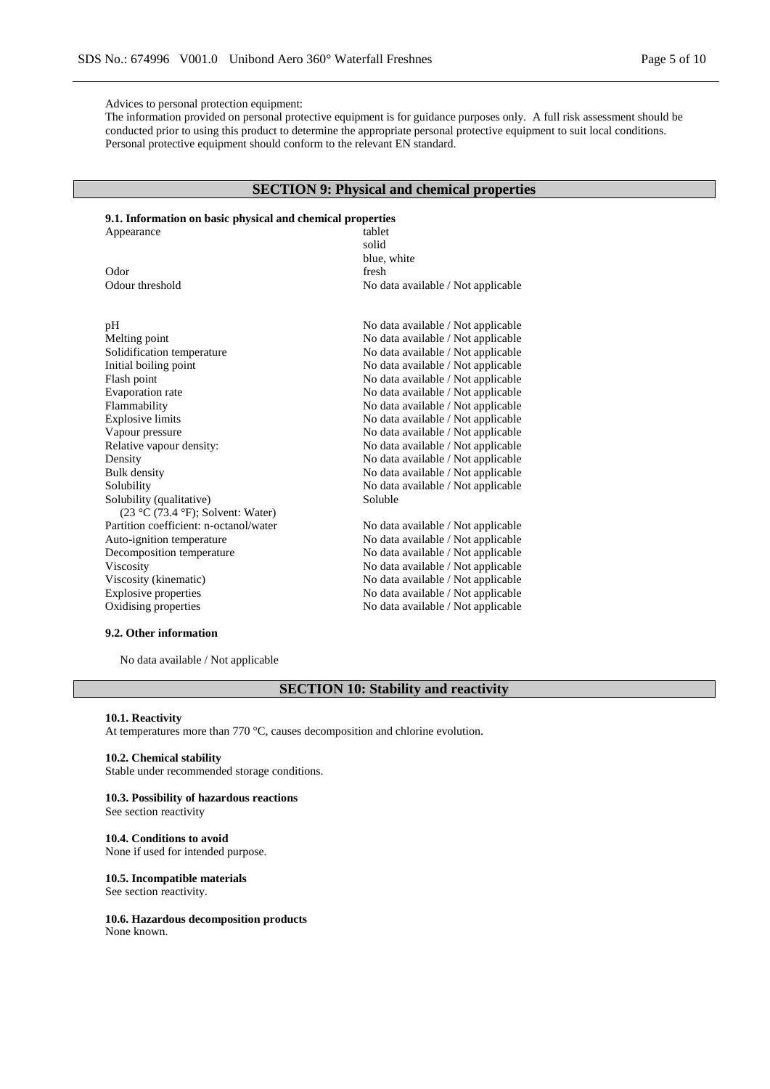#### Advices to personal protection equipment:

The information provided on personal protective equipment is for guidance purposes only. A full risk assessment should be conducted prior to using this product to determine the appropriate personal protective equipment to suit local conditions. Personal protective equipment should conform to the relevant EN standard.

# **SECTION 9: Physical and chemical properties**

# **9.1. Information on basic physical and chemical properties**

| Appearance                             | tablet                             |
|----------------------------------------|------------------------------------|
|                                        | solid                              |
|                                        | blue, white                        |
| Odor                                   | fresh                              |
| Odour threshold                        | No data available / Not applicable |
|                                        |                                    |
| pH                                     | No data available / Not applicable |
| Melting point                          | No data available / Not applicable |
| Solidification temperature             | No data available / Not applicable |
| Initial boiling point                  | No data available / Not applicable |
| Flash point                            | No data available / Not applicable |
| Evaporation rate                       | No data available / Not applicable |
| Flammability                           | No data available / Not applicable |
| <b>Explosive limits</b>                | No data available / Not applicable |
| Vapour pressure                        | No data available / Not applicable |
| Relative vapour density:               | No data available / Not applicable |
| Density                                | No data available / Not applicable |
| <b>Bulk</b> density                    | No data available / Not applicable |
| Solubility                             | No data available / Not applicable |
| Solubility (qualitative)               | Soluble                            |
| $(23 °C (73.4 °F))$ ; Solvent: Water)  |                                    |
| Partition coefficient: n-octanol/water | No data available / Not applicable |
| Auto-ignition temperature              | No data available / Not applicable |

Decomposition temperature No data available / Not applicable Viscosity No data available / Not applicable Viscosity (kinematic)<br>
Explosive properties<br>
No data available / Not applicable<br>
No data available / Not applicable Explosive properties No data available / Not applicable<br>Oxidising properties No data available / Not applicable<br>No data available / Not applicable No data available / Not applicable

## **9.2. Other information**

No data available / Not applicable

# **SECTION 10: Stability and reactivity**

#### **10.1. Reactivity**

At temperatures more than 770 °C, causes decomposition and chlorine evolution.

## **10.2. Chemical stability**

Stable under recommended storage conditions.

#### **10.3. Possibility of hazardous reactions**

See section reactivity

# **10.4. Conditions to avoid**

None if used for intended purpose.

# **10.5. Incompatible materials**

See section reactivity.

#### **10.6. Hazardous decomposition products** None known.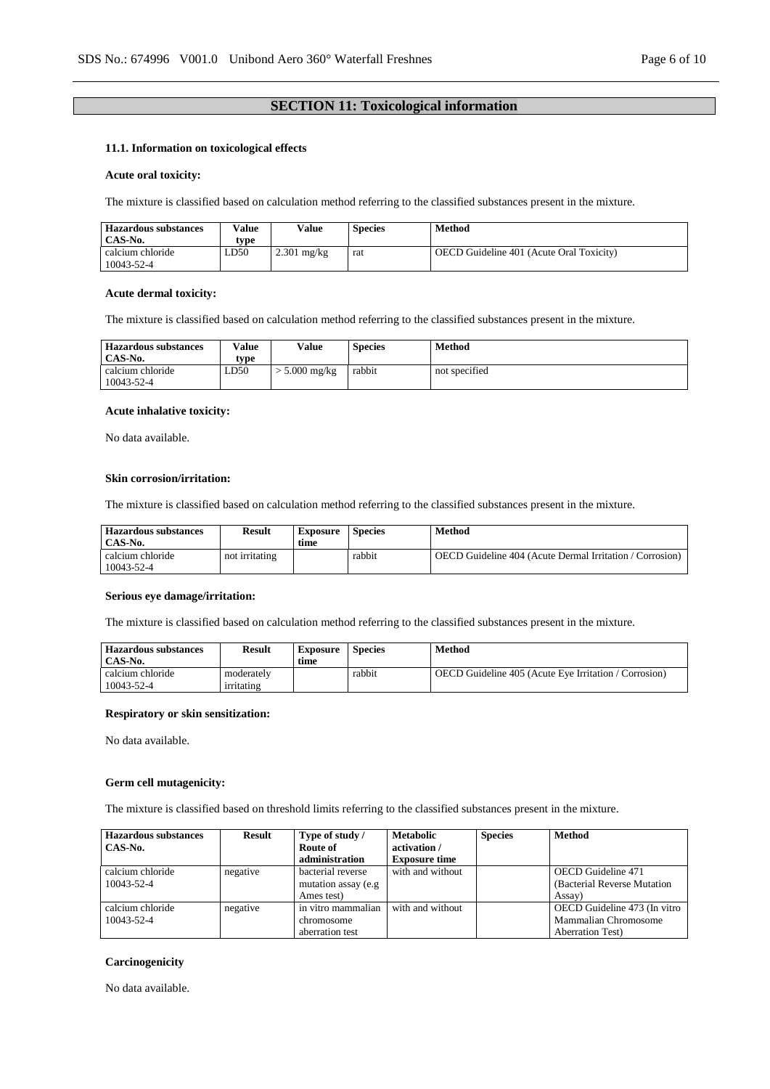# **SECTION 11: Toxicological information**

# **11.1. Information on toxicological effects**

## **Acute oral toxicity:**

The mixture is classified based on calculation method referring to the classified substances present in the mixture.

| <b>Hazardous substances</b><br>CAS-No. | Value<br>tvpe | Value         | <b>Species</b> | Method                                   |
|----------------------------------------|---------------|---------------|----------------|------------------------------------------|
| calcium chloride<br>10043-52-4         | LD50          | $2.301$ mg/kg | rat            | OECD Guideline 401 (Acute Oral Toxicity) |

#### **Acute dermal toxicity:**

The mixture is classified based on calculation method referring to the classified substances present in the mixture.

| <b>Hazardous substances</b><br>CAS-No. | <b>Value</b><br>type | Value         | <b>Species</b> | <b>Method</b> |
|----------------------------------------|----------------------|---------------|----------------|---------------|
| calcium chloride<br>10043-52-4         | LD50                 | $5.000$ mg/kg | rabbit         | not specified |

## **Acute inhalative toxicity:**

No data available.

### **Skin corrosion/irritation:**

The mixture is classified based on calculation method referring to the classified substances present in the mixture.

| <b>Hazardous substances</b><br>CAS-No. | <b>Result</b>  | <b>Exposure</b><br>time | <b>Species</b> | Method                                                   |
|----------------------------------------|----------------|-------------------------|----------------|----------------------------------------------------------|
| calcium chloride<br>10043-52-4         | not irritating |                         | rabbit         | OECD Guideline 404 (Acute Dermal Irritation / Corrosion) |

## **Serious eye damage/irritation:**

The mixture is classified based on calculation method referring to the classified substances present in the mixture.

| <b>Hazardous substances</b> | Result     | Exposure | <b>Species</b> | <b>Method</b>                                         |
|-----------------------------|------------|----------|----------------|-------------------------------------------------------|
| CAS-No.                     |            | time     |                |                                                       |
| calcium chloride            | moderately |          | rabbit         | OECD Guideline 405 (Acute Eve Irritation / Corrosion) |
| 10043-52-4                  | irritating |          |                |                                                       |

## **Respiratory or skin sensitization:**

No data available.

## **Germ cell mutagenicity:**

The mixture is classified based on threshold limits referring to the classified substances present in the mixture.

| Hazardous substances<br>CAS-No. | <b>Result</b> | Type of study /<br>Route of                             | <b>Metabolic</b><br>activation / | <b>Species</b> | <b>Method</b>                                                                    |
|---------------------------------|---------------|---------------------------------------------------------|----------------------------------|----------------|----------------------------------------------------------------------------------|
|                                 |               | administration                                          | <b>Exposure time</b>             |                |                                                                                  |
| calcium chloride<br>10043-52-4  | negative      | bacterial reverse<br>mutation assay (e.g.<br>Ames test) | with and without                 |                | OECD Guideline 471<br>(Bacterial Reverse Mutation)<br>Assay)                     |
| calcium chloride<br>10043-52-4  | negative      | in vitro mammalian<br>chromosome<br>aberration test     | with and without                 |                | OECD Guideline 473 (In vitro<br>Mammalian Chromosome<br><b>Aberration Test</b> ) |

#### **Carcinogenicity**

No data available.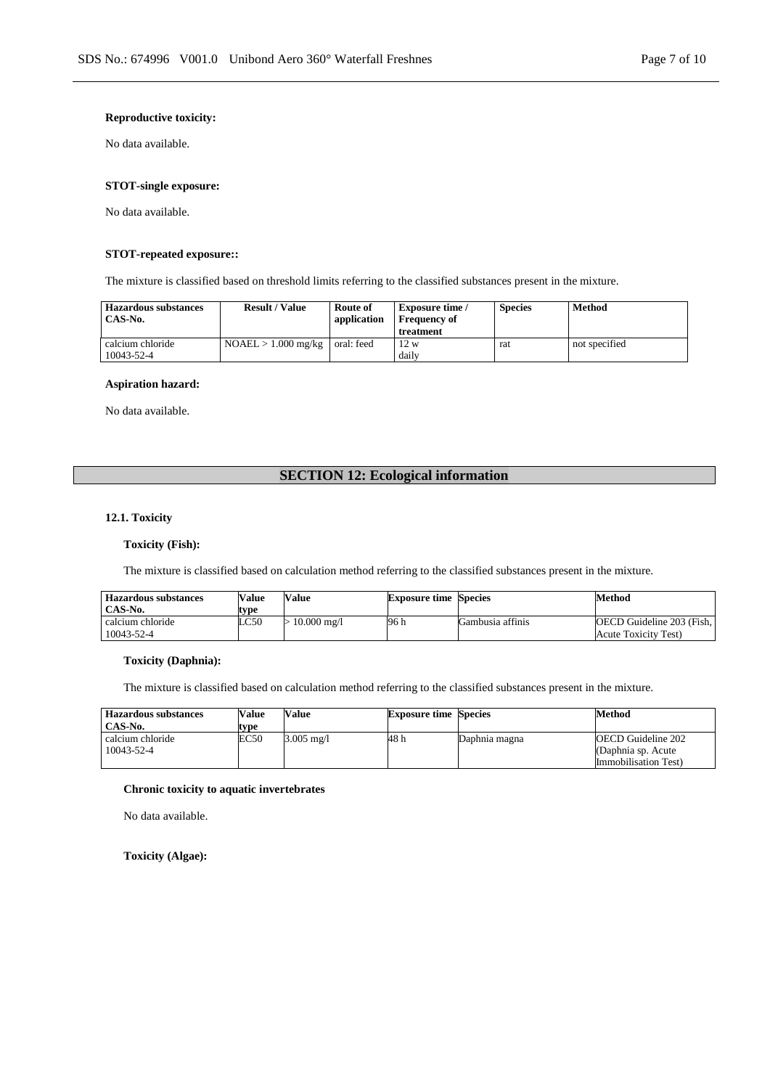# **Reproductive toxicity:**

No data available.

# **STOT-single exposure:**

No data available.

# **STOT-repeated exposure::**

The mixture is classified based on threshold limits referring to the classified substances present in the mixture.

| <b>Hazardous substances</b><br>CAS-No. | <b>Result / Value</b>              | Route of<br>application | <b>Exposure time</b> /<br><b>Frequency of</b><br>treatment | <b>Species</b> | <b>Method</b> |
|----------------------------------------|------------------------------------|-------------------------|------------------------------------------------------------|----------------|---------------|
| calcium chloride<br>10043-52-4         | $NOAEL > 1.000$ mg/kg   oral: feed |                         | 12 w<br>daily                                              | rat            | not specified |

#### **Aspiration hazard:**

No data available.

# **SECTION 12: Ecological information**

# **12.1. Toxicity**

## **Toxicity (Fish):**

The mixture is classified based on calculation method referring to the classified substances present in the mixture.

| <b>Hazardous substances</b> | Value | <b>Value</b>          | <b>Exposure time Species</b> |                  | Method                    |
|-----------------------------|-------|-----------------------|------------------------------|------------------|---------------------------|
| CAS-No.                     | tvpe  |                       |                              |                  |                           |
| calcium chloride            | LC50  | $10.000 \text{ mg/l}$ | 96 h                         | Gambusia affinis | OECD Guideline 203 (Fish, |
| 10043-52-4                  |       |                       |                              |                  | Acute Toxicity Test)      |

## **Toxicity (Daphnia):**

The mixture is classified based on calculation method referring to the classified substances present in the mixture.

| <b>Hazardous substances</b> | Value | Value                | <b>Exposure time Species</b> |               | Method                       |
|-----------------------------|-------|----------------------|------------------------------|---------------|------------------------------|
| CAS-No.                     | tvpe  |                      |                              |               |                              |
| calcium chloride            | EC50  | $3.005 \text{ mg}/1$ | 48 h                         | Daphnia magna | <b>OECD</b> Guideline 202    |
| 10043-52-4                  |       |                      |                              |               | (Daphnia sp. Acute)          |
|                             |       |                      |                              |               | <b>Immobilisation Test</b> ) |

# **Chronic toxicity to aquatic invertebrates**

No data available.

**Toxicity (Algae):**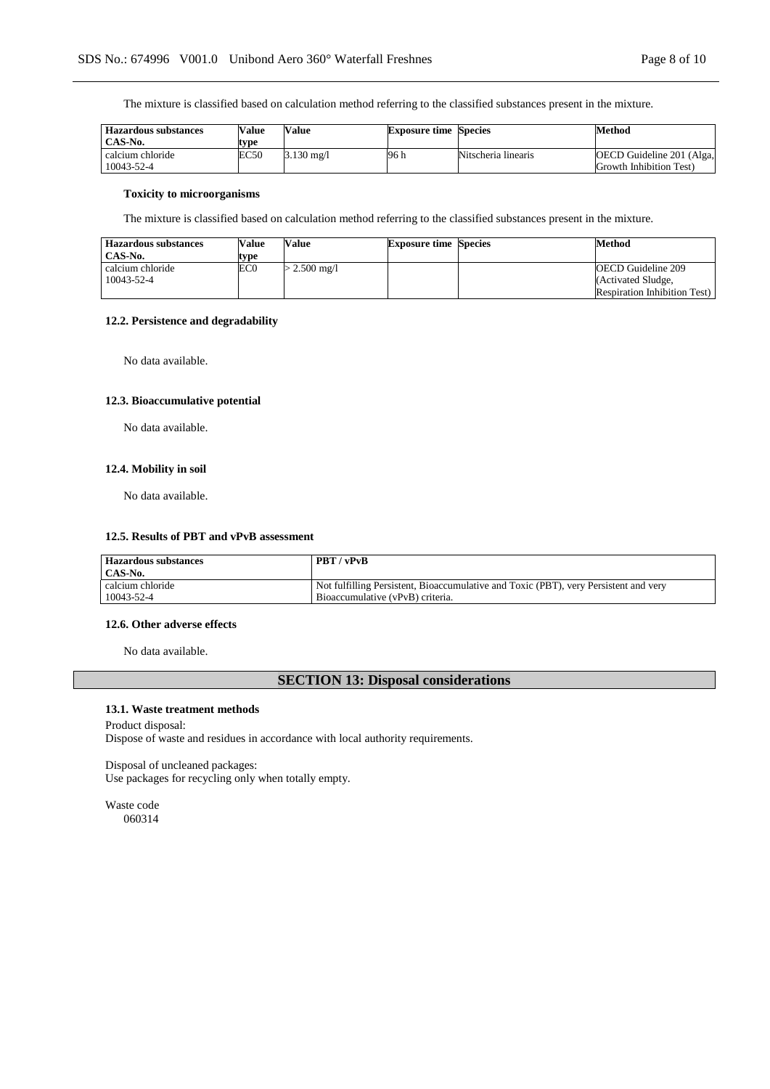The mixture is classified based on calculation method referring to the classified substances present in the mixture.

| <b>Hazardous substances</b><br>CAS-No. | Value<br>tvpe | Value                | <b>Exposure time Species</b> |                     | Method                                               |
|----------------------------------------|---------------|----------------------|------------------------------|---------------------|------------------------------------------------------|
| calcium chloride<br>10043-52-4         | EC50          | $3.130 \text{ mg}/1$ | 96 h                         | Nitscheria linearis | OECD Guideline 201 (Alga,<br>Growth Inhibition Test) |

## **Toxicity to microorganisms**

The mixture is classified based on calculation method referring to the classified substances present in the mixture.

| <b>Hazardous substances</b>    | Value           | <b>Value</b>   | <b>Exposure time Species</b> | Method                               |
|--------------------------------|-----------------|----------------|------------------------------|--------------------------------------|
| CAS-No.                        | tvpe            |                |                              |                                      |
| calcium chloride<br>10043-52-4 | EC <sub>0</sub> | $> 2.500$ mg/l |                              | OECD Guideline 209                   |
|                                |                 |                |                              | (Activated Sludge,                   |
|                                |                 |                |                              | <b>Respiration Inhibition Test</b> ) |

## **12.2. Persistence and degradability**

No data available.

## **12.3. Bioaccumulative potential**

No data available.

# **12.4. Mobility in soil**

No data available.

## **12.5. Results of PBT and vPvB assessment**

| <b>Hazardous substances</b><br>CAS-No. | PBT/vPvB                                                                             |
|----------------------------------------|--------------------------------------------------------------------------------------|
| calcium chloride                       | Not fulfilling Persistent, Bioaccumulative and Toxic (PBT), very Persistent and very |
| 10043-52-4                             | Bioaccumulative (vPvB) criteria.                                                     |

### **12.6. Other adverse effects**

No data available.

# **SECTION 13: Disposal considerations**

## **13.1. Waste treatment methods**

Product disposal: Dispose of waste and residues in accordance with local authority requirements.

Disposal of uncleaned packages: Use packages for recycling only when totally empty.

Waste code 060314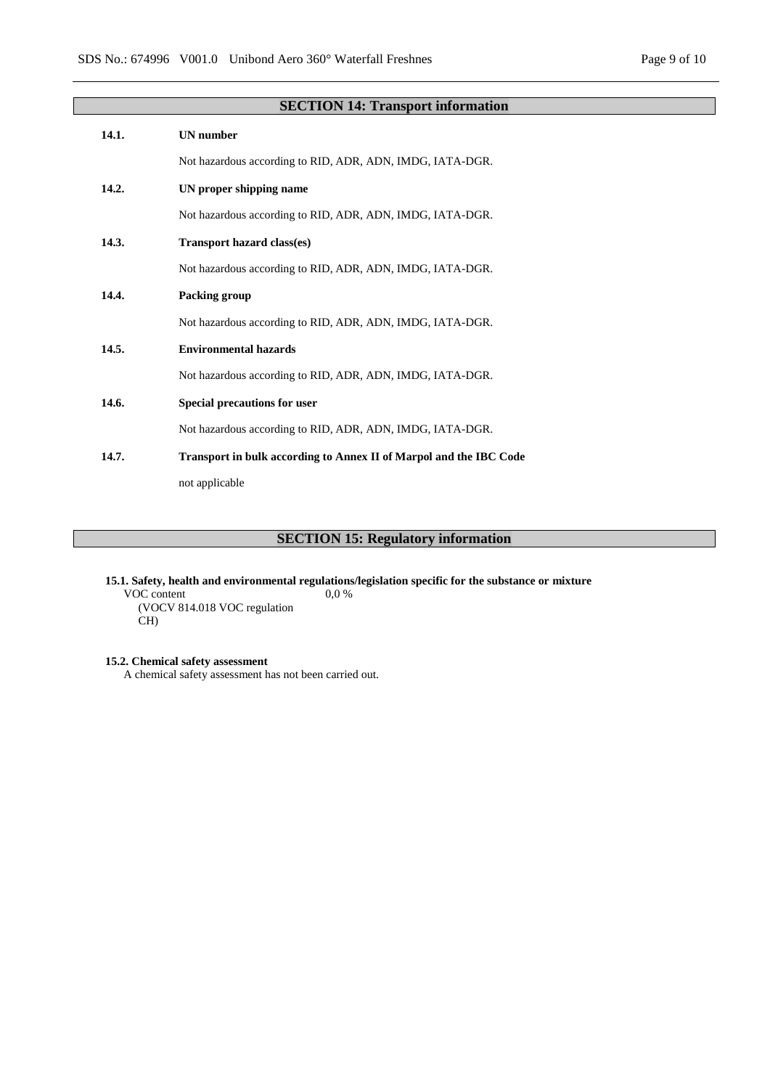|       | <b>SECTION 14: Transport information</b>                           |
|-------|--------------------------------------------------------------------|
| 14.1. | <b>UN</b> number                                                   |
|       | Not hazardous according to RID, ADR, ADN, IMDG, IATA-DGR.          |
| 14.2. | UN proper shipping name                                            |
|       | Not hazardous according to RID, ADR, ADN, IMDG, IATA-DGR.          |
| 14.3. | Transport hazard class(es)                                         |
|       | Not hazardous according to RID, ADR, ADN, IMDG, IATA-DGR.          |
| 14.4. | Packing group                                                      |
|       | Not hazardous according to RID, ADR, ADN, IMDG, IATA-DGR.          |
| 14.5. | <b>Environmental hazards</b>                                       |
|       | Not hazardous according to RID, ADR, ADN, IMDG, IATA-DGR.          |
| 14.6. | Special precautions for user                                       |
|       | Not hazardous according to RID, ADR, ADN, IMDG, IATA-DGR.          |
| 14.7. | Transport in bulk according to Annex II of Marpol and the IBC Code |
|       | not applicable                                                     |
|       |                                                                    |

# **SECTION 15: Regulatory information**

**15.1. Safety, health and environmental regulations/legislation specific for the substance or mixture** VOC content 0,0 %

(VOCV 814.018 VOC regulation CH)

# **15.2. Chemical safety assessment**

A chemical safety assessment has not been carried out.